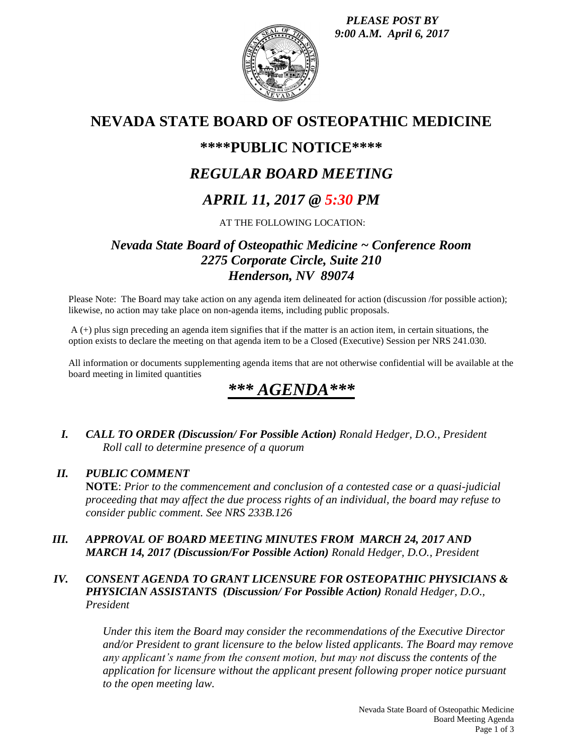*PLEASE POST BY 9:00 A.M. April 6, 2017*



## **NEVADA STATE BOARD OF OSTEOPATHIC MEDICINE**

## **\*\*\*\*PUBLIC NOTICE\*\*\*\***

## *REGULAR BOARD MEETING*

## *APRIL 11, 2017 @ 5:30 PM*

AT THE FOLLOWING LOCATION:

## *Nevada State Board of Osteopathic Medicine ~ Conference Room 2275 Corporate Circle, Suite 210 Henderson, NV 89074*

Please Note: The Board may take action on any agenda item delineated for action (discussion /for possible action); likewise, no action may take place on non-agenda items, including public proposals.

A (+) plus sign preceding an agenda item signifies that if the matter is an action item, in certain situations, the option exists to declare the meeting on that agenda item to be a Closed (Executive) Session per NRS 241.030.

All information or documents supplementing agenda items that are not otherwise confidential will be available at the board meeting in limited quantities

# \*\*\* *AGEN*

*I. CALL TO ORDER (Discussion/ For Possible Action) Ronald Hedger, D.O., President Roll call to determine presence of a quorum*

### *II. PUBLIC COMMENT*

**NOTE**: *Prior to the commencement and conclusion of a contested case or a quasi-judicial proceeding that may affect the due process rights of an individual, the board may refuse to consider public comment. See NRS 233B.126*

*III. APPROVAL OF BOARD MEETING MINUTES FROM MARCH 24, 2017 AND MARCH 14, 2017 (Discussion/For Possible Action) Ronald Hedger, D.O., President*

### *IV. CONSENT AGENDA TO GRANT LICENSURE FOR OSTEOPATHIC PHYSICIANS & PHYSICIAN ASSISTANTS (Discussion/ For Possible Action) Ronald Hedger, D.O., President*

*Under this item the Board may consider the recommendations of the Executive Director and/or President to grant licensure to the below listed applicants. The Board may remove any applicant's name from the consent motion, but may not discuss the contents of the application for licensure without the applicant present following proper notice pursuant to the open meeting law.*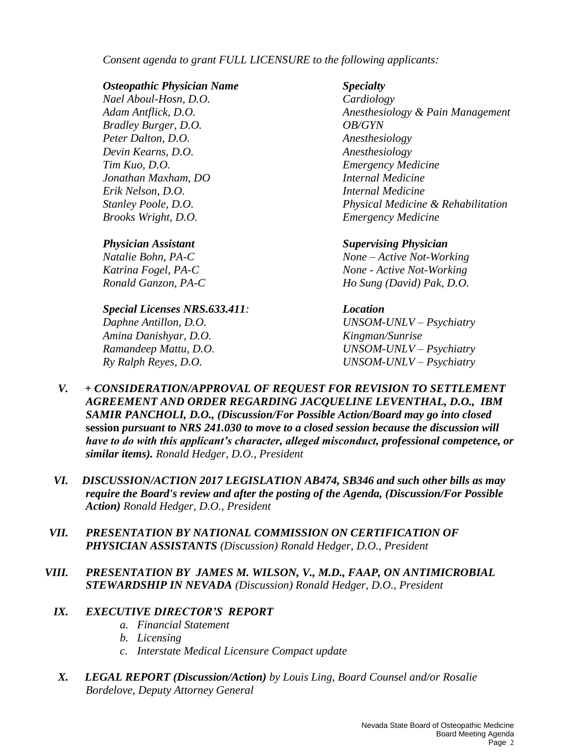*Consent agenda to grant FULL LICENSURE to the following applicants:*

#### *Osteopathic Physician Name Specialty*

*Nael Aboul-Hosn, D.O. Cardiology Bradley Burger, D.O. OB/GYN Peter Dalton, D.O. Anesthesiology Devin Kearns, D.O. Anesthesiology Tim Kuo, D.O. Emergency Medicine Jonathan Maxham, DO Internal Medicine Erik Nelson, D.O. Internal Medicine Brooks Wright, D.O. Emergency Medicine*

#### *Special Licenses NRS.633.411: Location*

*Amina Danishyar, D.O. Kingman/Sunrise*

*Adam Antflick, D.O. Anesthesiology & Pain Management Stanley Poole, D.O. Physical Medicine & Rehabilitation*

### *Physician Assistant Supervising Physician*

*Natalie Bohn, PA-C None – Active Not-Working Katrina Fogel, PA-C None - Active Not-Working Ronald Ganzon, PA-C Ho Sung (David) Pak, D.O.*

*Daphne Antillon, D.O. UNSOM-UNLV – Psychiatry Ramandeep Mattu, D.O. UNSOM-UNLV – Psychiatry Ry Ralph Reyes, D.O. UNSOM-UNLV – Psychiatry*

- *V. + CONSIDERATION/APPROVAL OF REQUEST FOR REVISION TO SETTLEMENT AGREEMENT AND ORDER REGARDING JACQUELINE LEVENTHAL, D.O., IBM SAMIR PANCHOLI, D.O., (Discussion/For Possible Action/Board may go into closed*  **session** *pursuant to NRS 241.030 to move to a closed session because the discussion will have to do with this applicant's character, alleged misconduct, professional competence, or similar items). Ronald Hedger, D.O., President*
- *VI. DISCUSSION/ACTION 2017 LEGISLATION AB474, SB346 and such other bills as may require the Board's review and after the posting of the Agenda, (Discussion/For Possible Action) Ronald Hedger, D.O., President*
- *VII. PRESENTATION BY NATIONAL COMMISSION ON CERTIFICATION OF PHYSICIAN ASSISTANTS (Discussion) Ronald Hedger, D.O., President*
- *VIII. PRESENTATION BY JAMES M. WILSON, V., M.D., FAAP, ON ANTIMICROBIAL STEWARDSHIP IN NEVADA (Discussion) Ronald Hedger, D.O., President*

### *IX. EXECUTIVE DIRECTOR'S REPORT*

- *a. Financial Statement*
- *b. Licensing*
- *c. Interstate Medical Licensure Compact update*
- *X. LEGAL REPORT (Discussion/Action) by Louis Ling, Board Counsel and/or Rosalie Bordelove, Deputy Attorney General*